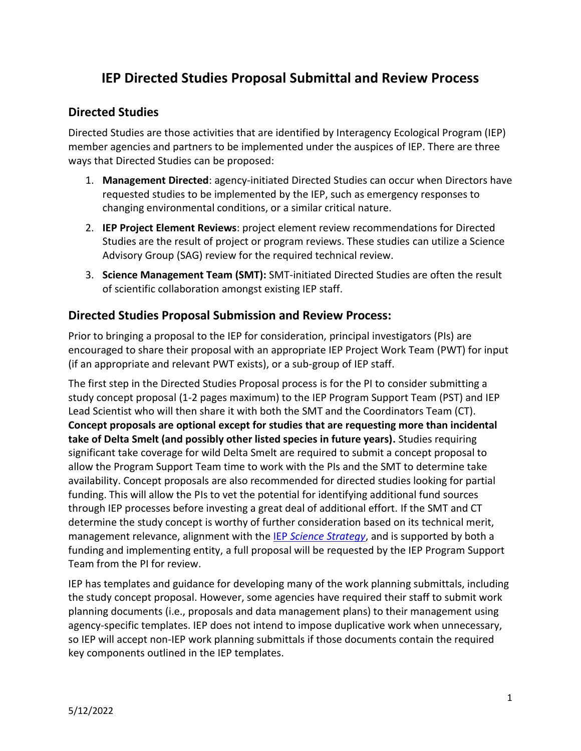# **IEP Directed Studies Proposal Submittal and Review Process**

### **Directed Studies**

Directed Studies are those activities that are identified by Interagency Ecological Program (IEP) member agencies and partners to be implemented under the auspices of IEP. There are three ways that Directed Studies can be proposed:

- 1. **Management Directed**: agency-initiated Directed Studies can occur when Directors have requested studies to be implemented by the IEP, such as emergency responses to changing environmental conditions, or a similar critical nature.
- 2. **IEP Project Element Reviews**: project element review recommendations for Directed Studies are the result of project or program reviews. These studies can utilize a Science Advisory Group (SAG) review for the required technical review.
- 3. **Science Management Team (SMT):** SMT-initiated Directed Studies are often the result of scientific collaboration amongst existing IEP staff.

#### **Directed Studies Proposal Submission and Review Process:**

Prior to bringing a proposal to the IEP for consideration, principal investigators (PIs) are encouraged to share their proposal with an appropriate IEP Project Work Team (PWT) for input (if an appropriate and relevant PWT exists), or a sub-group of IEP staff.

The first step in the Directed Studies Proposal process is for the PI to consider submitting a study concept proposal (1-2 pages maximum) to the IEP Program Support Team (PST) and IEP Lead Scientist who will then share it with both the SMT and the Coordinators Team (CT). **Concept proposals are optional except for studies that are requesting more than incidental take of Delta Smelt (and possibly other listed species in future years).** Studies requiring significant take coverage for wild Delta Smelt are required to submit a concept proposal to allow the Program Support Team time to work with the PIs and the SMT to determine take availability. Concept proposals are also recommended for directed studies looking for partial funding. This will allow the PIs to vet the potential for identifying additional fund sources through IEP processes before investing a great deal of additional effort. If the SMT and CT determine the study concept is worthy of further consideration based on its technical merit, management relevance, alignment with the IEP *[Science Strategy](https://nrm.dfg.ca.gov/FileHandler.ashx?DocumentID=185011&inline)*, and is supported by both a funding and implementing entity, a full proposal will be requested by the IEP Program Support Team from the PI for review.

IEP has templates and guidance for developing many of the work planning submittals, including the study concept proposal. However, some agencies have required their staff to submit work planning documents (i.e., proposals and data management plans) to their management using agency-specific templates. IEP does not intend to impose duplicative work when unnecessary, so IEP will accept non-IEP work planning submittals if those documents contain the required key components outlined in the IEP templates.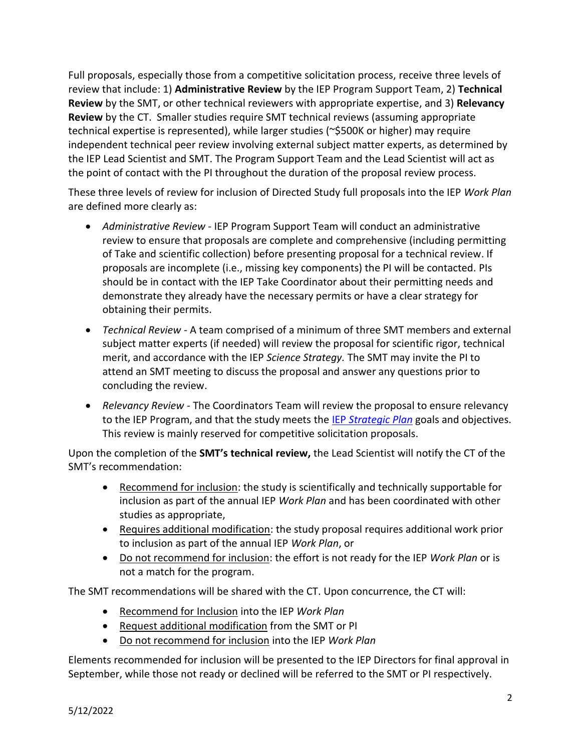Full proposals, especially those from a competitive solicitation process, receive three levels of review that include: 1) **Administrative Review** by the IEP Program Support Team, 2) **Technical Review** by the SMT, or other technical reviewers with appropriate expertise, and 3) **Relevancy Review** by the CT. Smaller studies require SMT technical reviews (assuming appropriate technical expertise is represented), while larger studies (~\$500K or higher) may require independent technical peer review involving external subject matter experts, as determined by the IEP Lead Scientist and SMT. The Program Support Team and the Lead Scientist will act as the point of contact with the PI throughout the duration of the proposal review process.

These three levels of review for inclusion of Directed Study full proposals into the IEP *Work Plan* are defined more clearly as:

- *Administrative Review* IEP Program Support Team will conduct an administrative review to ensure that proposals are complete and comprehensive (including permitting of Take and scientific collection) before presenting proposal for a technical review. If proposals are incomplete (i.e., missing key components) the PI will be contacted. PIs should be in contact with the IEP Take Coordinator about their permitting needs and demonstrate they already have the necessary permits or have a clear strategy for obtaining their permits.
- *Technical Review* A team comprised of a minimum of three SMT members and external subject matter experts (if needed) will review the proposal for scientific rigor, technical merit, and accordance with the IEP *Science Strategy.* The SMT may invite the PI to attend an SMT meeting to discuss the proposal and answer any questions prior to concluding the review.
- *Relevancy Review* The Coordinators Team will review the proposal to ensure relevancy to the IEP Program, and that the study meets the IEP *[Strategic Plan](https://nrm.dfg.ca.gov/FileHandler.ashx?DocumentID=185012&inline)* goals and objectives. This review is mainly reserved for competitive solicitation proposals.

Upon the completion of the **SMT's technical review,** the Lead Scientist will notify the CT of the SMT's recommendation:

- Recommend for inclusion: the study is scientifically and technically supportable for inclusion as part of the annual IEP *Work Plan* and has been coordinated with other studies as appropriate,
- Requires additional modification: the study proposal requires additional work prior to inclusion as part of the annual IEP *Work Plan*, or
- Do not recommend for inclusion: the effort is not ready for the IEP *Work Plan* or is not a match for the program.

The SMT recommendations will be shared with the CT. Upon concurrence, the CT will:

- Recommend for Inclusion into the IEP *Work Plan*
- Request additional modification from the SMT or PI
- Do not recommend for inclusion into the IEP *Work Plan*

Elements recommended for inclusion will be presented to the IEP Directors for final approval in September, while those not ready or declined will be referred to the SMT or PI respectively.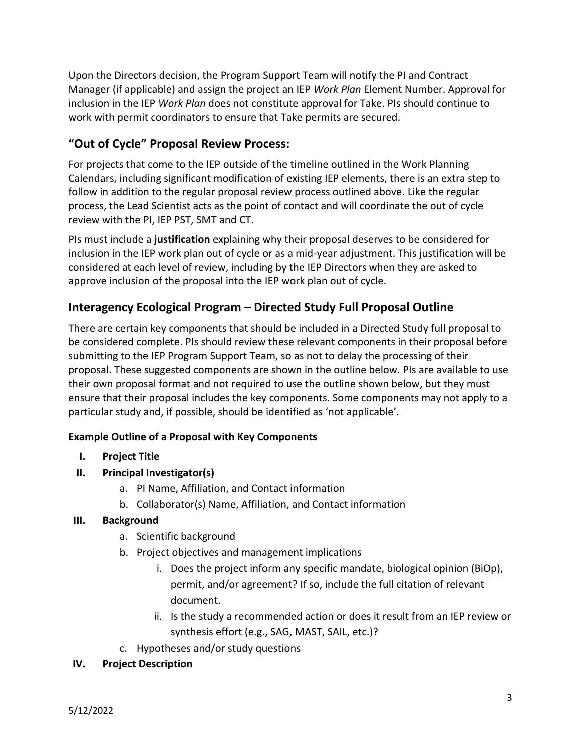Upon the Directors decision, the Program Support Team will notify the PI and Contract Manager (if applicable) and assign the project an IEP *Work Plan* Element Number. Approval for inclusion in the IEP *Work Plan* does not constitute approval for Take. PIs should continue to work with permit coordinators to ensure that Take permits are secured.

# **"Out of Cycle" Proposal Review Process:**

For projects that come to the IEP outside of the timeline outlined in the Work Planning Calendars, including significant modification of existing IEP elements, there is an extra step to follow in addition to the regular proposal review process outlined above. Like the regular process, the Lead Scientist acts as the point of contact and will coordinate the out of cycle review with the PI, IEP PST, SMT and CT.

PIs must include a **justification** explaining why their proposal deserves to be considered for inclusion in the IEP work plan out of cycle or as a mid-year adjustment. This justification will be considered at each level of review, including by the IEP Directors when they are asked to approve inclusion of the proposal into the IEP work plan out of cycle.

## **Interagency Ecological Program – Directed Study Full Proposal Outline**

There are certain key components that should be included in a Directed Study full proposal to be considered complete. PIs should review these relevant components in their proposal before submitting to the IEP Program Support Team, so as not to delay the processing of their proposal. These suggested components are shown in the outline below. PIs are available to use their own proposal format and not required to use the outline shown below, but they must ensure that their proposal includes the key components. Some components may not apply to a particular study and, if possible, should be identified as 'not applicable'.

#### **Example Outline of a Proposal with Key Components**

#### **I. Project Title**

- **II. Principal Investigator(s)**
	- a. PI Name, Affiliation, and Contact information
	- b. Collaborator(s) Name, Affiliation, and Contact information

#### **III. Background**

- a. Scientific background
- b. Project objectives and management implications
	- i. Does the project inform any specific mandate, biological opinion (BiOp), permit, and/or agreement? If so, include the full citation of relevant document.
	- ii. Is the study a recommended action or does it result from an IEP review or synthesis effort (e.g., SAG, MAST, SAIL, etc.)?
- c. Hypotheses and/or study questions

#### **IV. Project Description**